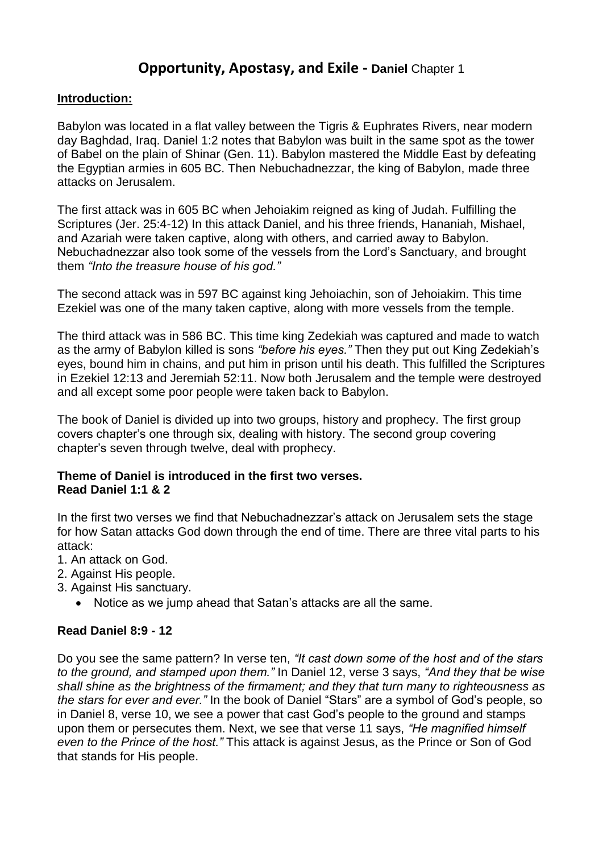# **Opportunity, Apostasy, and Exile - Daniel** Chapter 1

### **Introduction:**

Babylon was located in a flat valley between the Tigris & Euphrates Rivers, near modern day Baghdad, Iraq. Daniel 1:2 notes that Babylon was built in the same spot as the tower of Babel on the plain of Shinar (Gen. 11). Babylon mastered the Middle East by defeating the Egyptian armies in 605 BC. Then Nebuchadnezzar, the king of Babylon, made three attacks on Jerusalem.

The first attack was in 605 BC when Jehoiakim reigned as king of Judah. Fulfilling the Scriptures (Jer. 25:4-12) In this attack Daniel, and his three friends, Hananiah, Mishael, and Azariah were taken captive, along with others, and carried away to Babylon. Nebuchadnezzar also took some of the vessels from the Lord's Sanctuary, and brought them *"Into the treasure house of his god."*

The second attack was in 597 BC against king Jehoiachin, son of Jehoiakim. This time Ezekiel was one of the many taken captive, along with more vessels from the temple.

The third attack was in 586 BC. This time king Zedekiah was captured and made to watch as the army of Babylon killed is sons *"before his eyes."* Then they put out King Zedekiah's eyes, bound him in chains, and put him in prison until his death. This fulfilled the Scriptures in Ezekiel 12:13 and Jeremiah 52:11. Now both Jerusalem and the temple were destroyed and all except some poor people were taken back to Babylon.

The book of Daniel is divided up into two groups, history and prophecy. The first group covers chapter's one through six, dealing with history. The second group covering chapter's seven through twelve, deal with prophecy.

#### **Theme of Daniel is introduced in the first two verses. Read Daniel 1:1 & 2**

In the first two verses we find that Nebuchadnezzar's attack on Jerusalem sets the stage for how Satan attacks God down through the end of time. There are three vital parts to his attack:

- 1. An attack on God.
- 2. Against His people.
- 3. Against His sanctuary.
	- Notice as we jump ahead that Satan's attacks are all the same.

#### **Read Daniel 8:9 - 12**

Do you see the same pattern? In verse ten, *"It cast down some of the host and of the stars to the ground, and stamped upon them."* In Daniel 12, verse 3 says, *"And they that be wise shall shine as the brightness of the firmament; and they that turn many to righteousness as the stars for ever and ever."* In the book of Daniel "Stars" are a symbol of God's people, so in Daniel 8, verse 10, we see a power that cast God's people to the ground and stamps upon them or persecutes them. Next, we see that verse 11 says, *"He magnified himself even to the Prince of the host."* This attack is against Jesus, as the Prince or Son of God that stands for His people.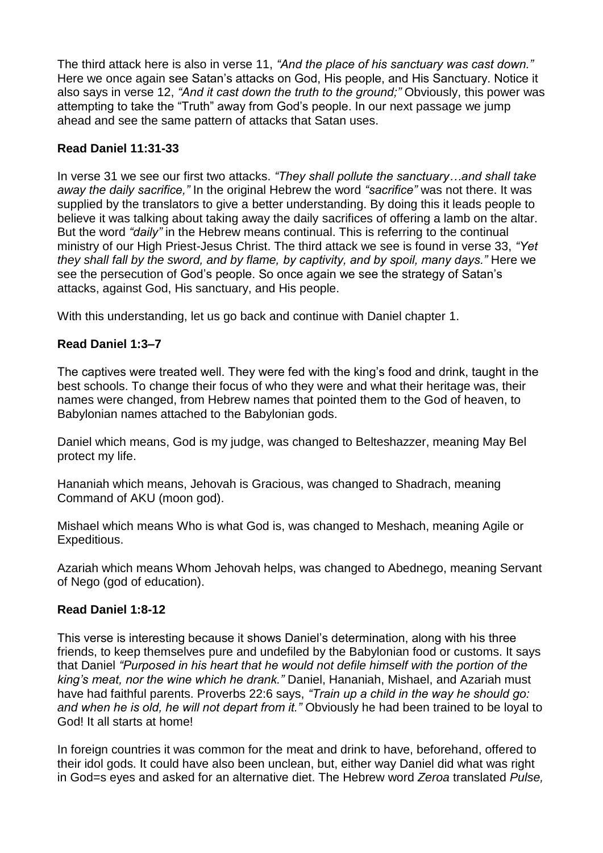The third attack here is also in verse 11, *"And the place of his sanctuary was cast down."*  Here we once again see Satan's attacks on God, His people, and His Sanctuary. Notice it also says in verse 12, *"And it cast down the truth to the ground;"* Obviously, this power was attempting to take the "Truth" away from God's people. In our next passage we jump ahead and see the same pattern of attacks that Satan uses.

## **Read Daniel 11:31-33**

In verse 31 we see our first two attacks. *"They shall pollute the sanctuary…and shall take away the daily sacrifice,"* In the original Hebrew the word *"sacrifice"* was not there. It was supplied by the translators to give a better understanding. By doing this it leads people to believe it was talking about taking away the daily sacrifices of offering a lamb on the altar. But the word *"daily"* in the Hebrew means continual. This is referring to the continual ministry of our High Priest-Jesus Christ. The third attack we see is found in verse 33, *"Yet they shall fall by the sword, and by flame, by captivity, and by spoil, many days."* Here we see the persecution of God's people. So once again we see the strategy of Satan's attacks, against God, His sanctuary, and His people.

With this understanding, let us go back and continue with Daniel chapter 1.

## **Read Daniel 1:3–7**

The captives were treated well. They were fed with the king's food and drink, taught in the best schools. To change their focus of who they were and what their heritage was, their names were changed, from Hebrew names that pointed them to the God of heaven, to Babylonian names attached to the Babylonian gods.

Daniel which means, God is my judge, was changed to Belteshazzer, meaning May Bel protect my life.

Hananiah which means, Jehovah is Gracious, was changed to Shadrach, meaning Command of AKU (moon god).

Mishael which means Who is what God is, was changed to Meshach, meaning Agile or Expeditious.

Azariah which means Whom Jehovah helps, was changed to Abednego, meaning Servant of Nego (god of education).

## **Read Daniel 1:8-12**

This verse is interesting because it shows Daniel's determination, along with his three friends, to keep themselves pure and undefiled by the Babylonian food or customs. It says that Daniel *"Purposed in his heart that he would not defile himself with the portion of the king's meat, nor the wine which he drank."* Daniel, Hananiah, Mishael, and Azariah must have had faithful parents. Proverbs 22:6 says, *"Train up a child in the way he should go: and when he is old, he will not depart from it."* Obviously he had been trained to be loyal to God! It all starts at home!

In foreign countries it was common for the meat and drink to have, beforehand, offered to their idol gods. It could have also been unclean, but, either way Daniel did what was right in God=s eyes and asked for an alternative diet. The Hebrew word *Zeroa* translated *Pulse,*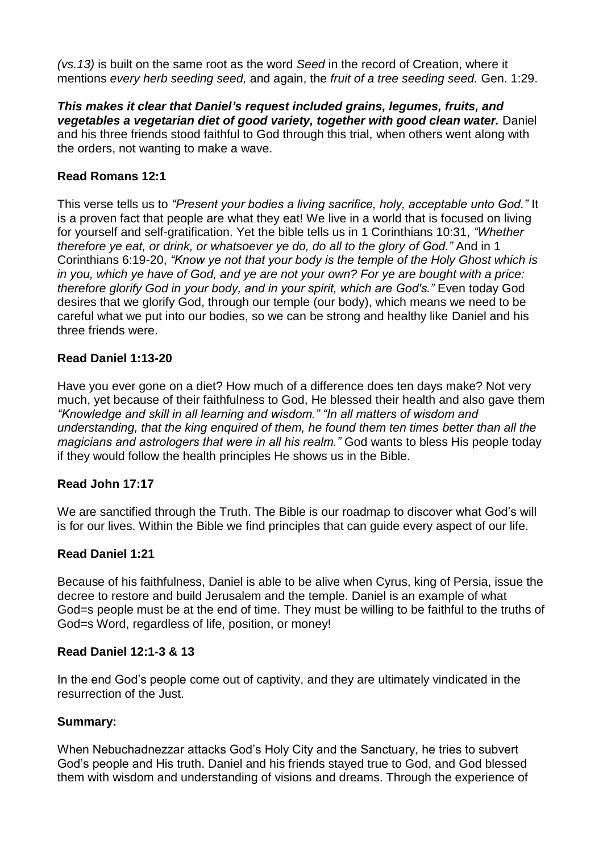*(vs.13)* is built on the same root as the word *Seed* in the record of Creation, where it mentions *every herb seeding seed,* and again, the *fruit of a tree seeding seed.* Gen. 1:29.

*This makes it clear that Daniel's request included grains, legumes, fruits, and vegetables a vegetarian diet of good variety, together with good clean water.* Daniel and his three friends stood faithful to God through this trial, when others went along with the orders, not wanting to make a wave.

## **Read Romans 12:1**

This verse tells us to *"Present your bodies a living sacrifice, holy, acceptable unto God."* It is a proven fact that people are what they eat! We live in a world that is focused on living for yourself and self-gratification. Yet the bible tells us in 1 Corinthians 10:31, *"Whether therefore ye eat, or drink, or whatsoever ye do, do all to the glory of God."* And in 1 Corinthians 6:19-20, *"Know ye not that your body is the temple of the Holy Ghost which is in you, which ye have of God, and ye are not your own? For ye are bought with a price: therefore glorify God in your body, and in your spirit, which are God's."* Even today God desires that we glorify God, through our temple (our body), which means we need to be careful what we put into our bodies, so we can be strong and healthy like Daniel and his three friends were.

### **Read Daniel 1:13-20**

Have you ever gone on a diet? How much of a difference does ten days make? Not very much, yet because of their faithfulness to God, He blessed their health and also gave them *"Knowledge and skill in all learning and wisdom." "In all matters of wisdom and understanding, that the king enquired of them, he found them ten times better than all the magicians and astrologers that were in all his realm."* God wants to bless His people today if they would follow the health principles He shows us in the Bible.

#### **Read John 17:17**

We are sanctified through the Truth. The Bible is our roadmap to discover what God's will is for our lives. Within the Bible we find principles that can guide every aspect of our life.

#### **Read Daniel 1:21**

Because of his faithfulness, Daniel is able to be alive when Cyrus, king of Persia, issue the decree to restore and build Jerusalem and the temple. Daniel is an example of what God=s people must be at the end of time. They must be willing to be faithful to the truths of God=s Word, regardless of life, position, or money!

#### **Read Daniel 12:1-3 & 13**

In the end God's people come out of captivity, and they are ultimately vindicated in the resurrection of the Just.

#### **Summary:**

When Nebuchadnezzar attacks God's Holy City and the Sanctuary, he tries to subvert God's people and His truth. Daniel and his friends stayed true to God, and God blessed them with wisdom and understanding of visions and dreams. Through the experience of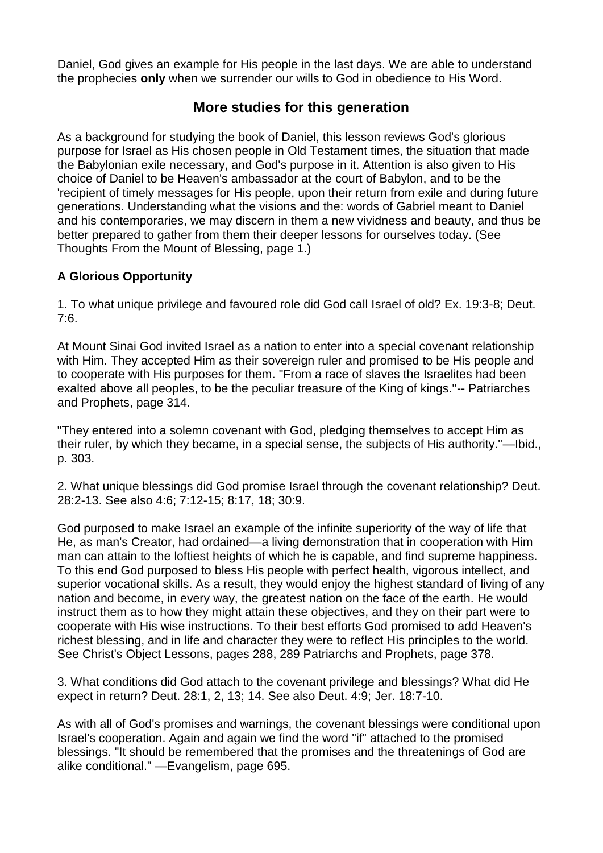Daniel, God gives an example for His people in the last days. We are able to understand the prophecies **only** when we surrender our wills to God in obedience to His Word.

# **More studies for this generation**

As a background for studying the book of Daniel, this lesson reviews God's glorious purpose for Israel as His chosen people in Old Testament times, the situation that made the Babylonian exile necessary, and God's purpose in it. Attention is also given to His choice of Daniel to be Heaven's ambassador at the court of Babylon, and to be the 'recipient of timely messages for His people, upon their return from exile and during future generations. Understanding what the visions and the: words of Gabriel meant to Daniel and his contemporaries, we may discern in them a new vividness and beauty, and thus be better prepared to gather from them their deeper lessons for ourselves today. (See Thoughts From the Mount of Blessing, page 1.)

# **A Glorious Opportunity**

1. To what unique privilege and favoured role did God call Israel of old? Ex. 19:3-8; Deut. 7:6.

At Mount Sinai God invited Israel as a nation to enter into a special covenant relationship with Him. They accepted Him as their sovereign ruler and promised to be His people and to cooperate with His purposes for them. "From a race of slaves the Israelites had been exalted above all peoples, to be the peculiar treasure of the King of kings."-- Patriarches and Prophets, page 314.

"They entered into a solemn covenant with God, pledging themselves to accept Him as their ruler, by which they became, in a special sense, the subjects of His authority."—Ibid., p. 303.

2. What unique blessings did God promise Israel through the covenant relationship? Deut. 28:2-13. See also 4:6; 7:12-15; 8:17, 18; 30:9.

God purposed to make Israel an example of the infinite superiority of the way of life that He, as man's Creator, had ordained—a living demonstration that in cooperation with Him man can attain to the loftiest heights of which he is capable, and find supreme happiness. To this end God purposed to bless His people with perfect health, vigorous intellect, and superior vocational skills. As a result, they would enjoy the highest standard of living of any nation and become, in every way, the greatest nation on the face of the earth. He would instruct them as to how they might attain these objectives, and they on their part were to cooperate with His wise instructions. To their best efforts God promised to add Heaven's richest blessing, and in life and character they were to reflect His principles to the world. See Christ's Object Lessons, pages 288, 289 Patriarchs and Prophets, page 378.

3. What conditions did God attach to the covenant privilege and blessings? What did He expect in return? Deut. 28:1, 2, 13; 14. See also Deut. 4:9; Jer. 18:7-10.

As with all of God's promises and warnings, the covenant blessings were conditional upon Israel's cooperation. Again and again we find the word "if" attached to the promised blessings. "It should be remembered that the promises and the threatenings of God are alike conditional." —Evangelism, page 695.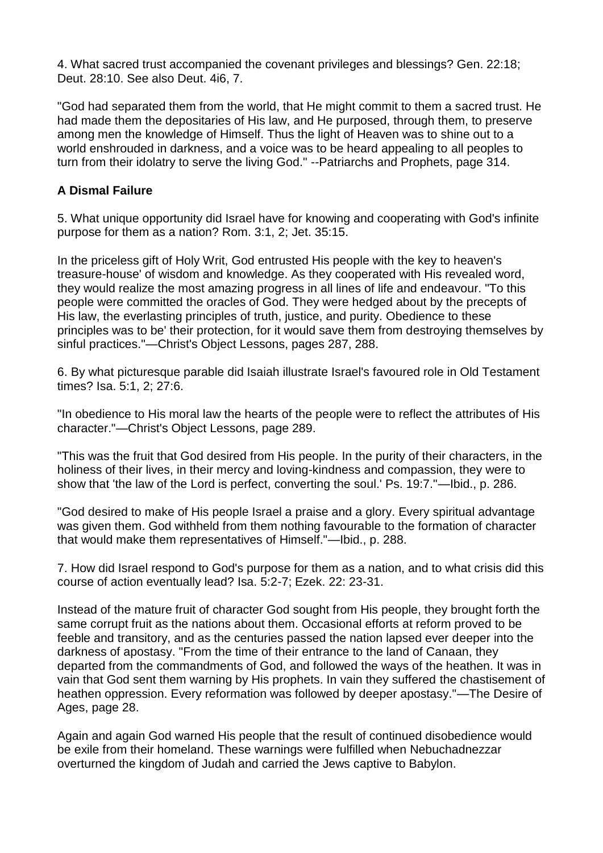4. What sacred trust accompanied the covenant privileges and blessings? Gen. 22:18; Deut. 28:10. See also Deut. 4i6, 7.

"God had separated them from the world, that He might commit to them a sacred trust. He had made them the depositaries of His law, and He purposed, through them, to preserve among men the knowledge of Himself. Thus the light of Heaven was to shine out to a world enshrouded in darkness, and a voice was to be heard appealing to all peoples to turn from their idolatry to serve the living God." --Patriarchs and Prophets, page 314.

## **A Dismal Failure**

5. What unique opportunity did Israel have for knowing and cooperating with God's infinite purpose for them as a nation? Rom. 3:1, 2; Jet. 35:15.

In the priceless gift of Holy Writ, God entrusted His people with the key to heaven's treasure-house' of wisdom and knowledge. As they cooperated with His revealed word, they would realize the most amazing progress in all lines of life and endeavour. "To this people were committed the oracles of God. They were hedged about by the precepts of His law, the everlasting principles of truth, justice, and purity. Obedience to these principles was to be' their protection, for it would save them from destroying themselves by sinful practices."—Christ's Object Lessons, pages 287, 288.

6. By what picturesque parable did Isaiah illustrate Israel's favoured role in Old Testament times? Isa. 5:1, 2; 27:6.

"In obedience to His moral law the hearts of the people were to reflect the attributes of His character."—Christ's Object Lessons, page 289.

"This was the fruit that God desired from His people. In the purity of their characters, in the holiness of their lives, in their mercy and loving-kindness and compassion, they were to show that 'the law of the Lord is perfect, converting the soul.' Ps. 19:7."—Ibid., p. 286.

"God desired to make of His people Israel a praise and a glory. Every spiritual advantage was given them. God withheld from them nothing favourable to the formation of character that would make them representatives of Himself."—Ibid., p. 288.

7. How did Israel respond to God's purpose for them as a nation, and to what crisis did this course of action eventually lead? Isa. 5:2-7; Ezek. 22: 23-31.

Instead of the mature fruit of character God sought from His people, they brought forth the same corrupt fruit as the nations about them. Occasional efforts at reform proved to be feeble and transitory, and as the centuries passed the nation lapsed ever deeper into the darkness of apostasy. "From the time of their entrance to the land of Canaan, they departed from the commandments of God, and followed the ways of the heathen. It was in vain that God sent them warning by His prophets. In vain they suffered the chastisement of heathen oppression. Every reformation was followed by deeper apostasy."—The Desire of Ages, page 28.

Again and again God warned His people that the result of continued disobedience would be exile from their homeland. These warnings were fulfilled when Nebuchadnezzar overturned the kingdom of Judah and carried the Jews captive to Babylon.